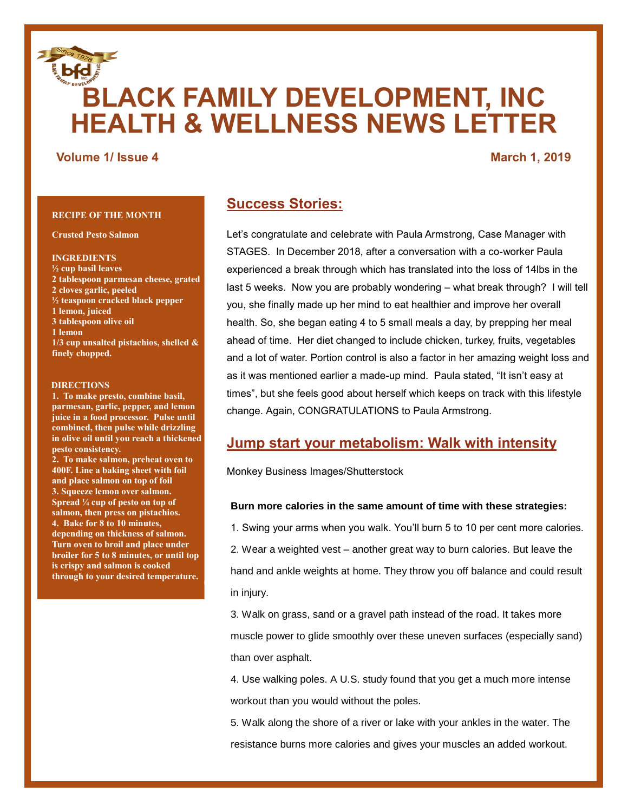# **BLACK FAMILY DEVELOPMENT, INC HEALTH & WELLNESS NEWS LETTER**

# **Volume 1/ Issue 4** March 1, 2019

# **RECIPE OF THE MONTH**

**Crusted Pesto Salmon**

#### **INGREDIENTS**

**½ cup basil leaves 2 tablespoon parmesan cheese, grated 2 cloves garlic, peeled ½ teaspoon cracked black pepper 1 lemon, juiced 3 tablespoon olive oil 1 lemon 1/3 cup unsalted pistachios, shelled & finely chopped.**

#### **DIRECTIONS**

**1. To make presto, combine basil, parmesan, garlic, pepper, and lemon juice in a food processor. Pulse until combined, then pulse while drizzling in olive oil until you reach a thickened pesto consistency.**

**2. To make salmon, preheat oven to 400F. Line a baking sheet with foil and place salmon on top of foil 3. Squeeze lemon over salmon. Spread ¼ cup of pesto on top of salmon, then press on pistachios. 4. Bake for 8 to 10 minutes, depending on thickness of salmon. Turn oven to broil and place under broiler for 5 to 8 minutes, or until top is crispy and salmon is cooked through to your desired temperature.**

# **Success Stories:**

Let's congratulate and celebrate with Paula Armstrong, Case Manager with STAGES. In December 2018, after a conversation with a co-worker Paula experienced a break through which has translated into the loss of 14lbs in the last 5 weeks. Now you are probably wondering – what break through? I will tell you, she finally made up her mind to eat healthier and improve her overall health. So, she began eating 4 to 5 small meals a day, by prepping her meal ahead of time. Her diet changed to include chicken, turkey, fruits, vegetables and a lot of water. Portion control is also a factor in her amazing weight loss and as it was mentioned earlier a made-up mind. Paula stated, "It isn't easy at times", but she feels good about herself which keeps on track with this lifestyle change. Again, CONGRATULATIONS to Paula Armstrong.

# **Jump start your metabolism: Walk with intensity**

Monkey Business Images/Shutterstock

### **Burn more calories in the same amount of time with these strategies:**

1. Swing your arms when you walk. You'll burn 5 to 10 per cent more calories.

2. Wear a weighted vest – another great way to burn calories. But leave the hand and ankle weights at home. They throw you off balance and could result in injury.

3. Walk on grass, sand or a gravel path instead of the road. It takes more muscle power to glide smoothly over these uneven surfaces (especially sand) than over asphalt.

4. Use walking poles. A U.S. study found that you get a much more intense workout than you would without the poles.

5. Walk along the shore of a river or lake with your ankles in the water. The resistance burns more calories and gives your muscles an added workout.